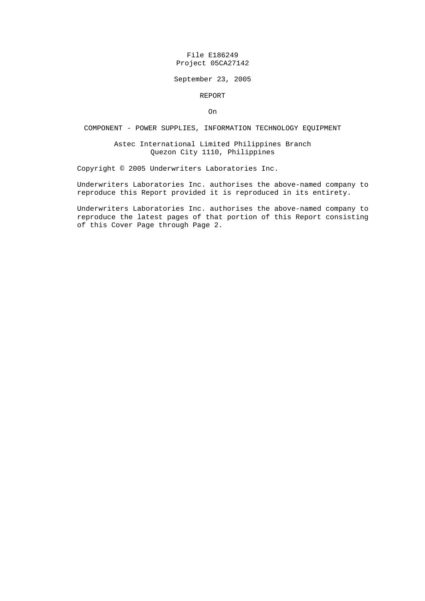## File E186249 Project 05CA27142

### September 23, 2005

#### REPORT

On

# COMPONENT - POWER SUPPLIES, INFORMATION TECHNOLOGY EQUIPMENT

## Astec International Limited Philippines Branch Quezon City 1110, Philippines

Copyright © 2005 Underwriters Laboratories Inc.

Underwriters Laboratories Inc. authorises the above-named company to reproduce this Report provided it is reproduced in its entirety.

Underwriters Laboratories Inc. authorises the above-named company to reproduce the latest pages of that portion of this Report consisting of this Cover Page through Page 2.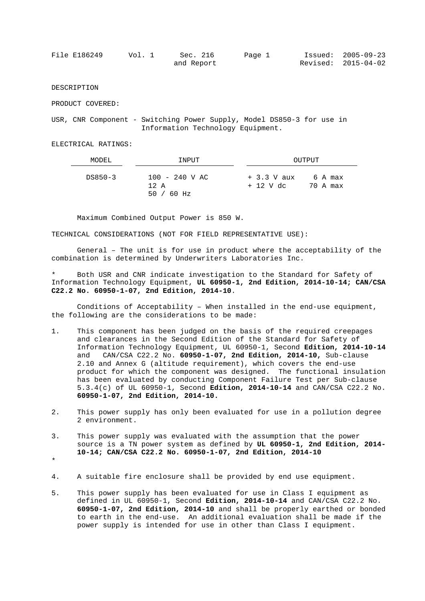| File E186249 | Vol. 1 | Sec. 216   | Page 1 | $Issued: 2005-09-23$ |
|--------------|--------|------------|--------|----------------------|
|              |        | and Report |        | Revised: 2015-04-02  |

DESCRIPTION

PRODUCT COVERED:

USR, CNR Component - Switching Power Supply, Model DS850-3 for use in Information Technology Equipment.

ELECTRICAL RATINGS:

| MODEL   | INPUT                                            | OUTPUT                                           |
|---------|--------------------------------------------------|--------------------------------------------------|
| DS850-3 | $100 - 240$ V AC<br>$12 \text{ A}$<br>50 / 60 Hz | $+3.3$ V aux<br>6 A max<br>+ 12 V dc<br>70 A max |

Maximum Combined Output Power is 850 W.

TECHNICAL CONSIDERATIONS (NOT FOR FIELD REPRESENTATIVE USE):

General – The unit is for use in product where the acceptability of the combination is determined by Underwriters Laboratories Inc.

Both USR and CNR indicate investigation to the Standard for Safety of Information Technology Equipment, **UL 60950-1, 2nd Edition, 2014-10-14; CAN/CSA C22.2 No. 60950-1-07, 2nd Edition, 2014-10**.

Conditions of Acceptability – When installed in the end-use equipment, the following are the considerations to be made:

- 1. This component has been judged on the basis of the required creepages and clearances in the Second Edition of the Standard for Safety of Information Technology Equipment, UL 60950-1, Second **Edition, 2014-10-14** and CAN/CSA C22.2 No. **60950-1-07, 2nd Edition, 2014-10,** Sub-clause 2.10 and Annex G (altitude requirement), which covers the end-use product for which the component was designed. The functional insulation has been evaluated by conducting Component Failure Test per Sub-clause 5.3.4(c) of UL 60950-1, Second **Edition, 2014-10-14** and CAN/CSA C22.2 No. **60950-1-07, 2nd Edition, 2014-10.**
- 2. This power supply has only been evaluated for use in a pollution degree 2 environment.
- 3. This power supply was evaluated with the assumption that the power source is a TN power system as defined by **UL 60950-1, 2nd Edition, 2014- 10-14; CAN/CSA C22.2 No. 60950-1-07, 2nd Edition, 2014-10**
- \*
- 4. A suitable fire enclosure shall be provided by end use equipment.
- 5. This power supply has been evaluated for use in Class I equipment as defined in UL 60950-1, Second **Edition, 2014-10-14** and CAN/CSA C22.2 No. **60950-1-07, 2nd Edition, 2014-10** and shall be properly earthed or bonded to earth in the end-use. An additional evaluation shall be made if the power supply is intended for use in other than Class I equipment.